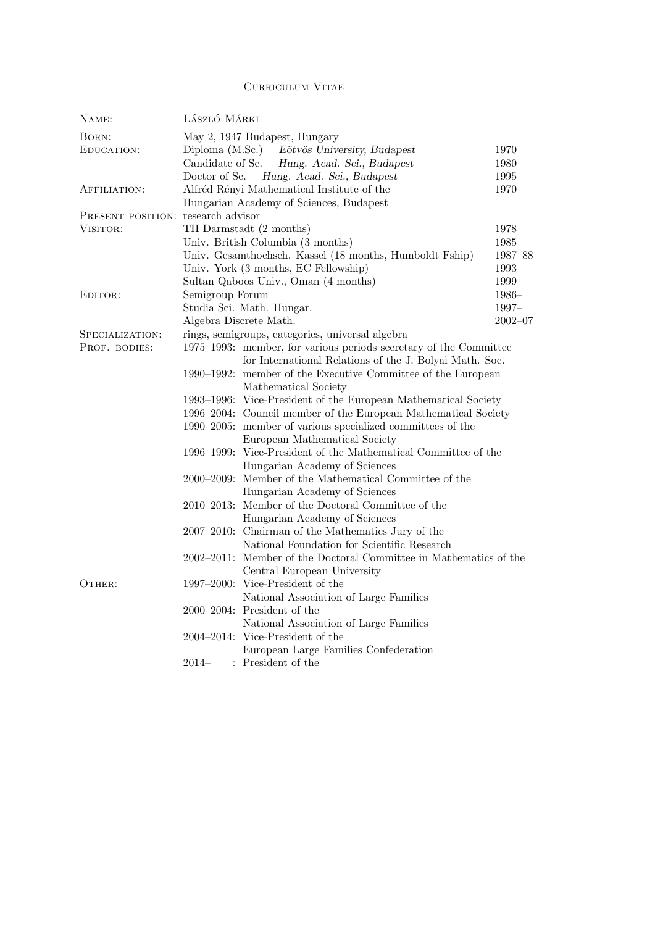## Curriculum Vitae

| NAME:                              | LÁSZLÓ MÁRKI                                                       |                                                                   |             |  |
|------------------------------------|--------------------------------------------------------------------|-------------------------------------------------------------------|-------------|--|
| BORN:                              |                                                                    | May 2, 1947 Budapest, Hungary                                     |             |  |
| EDUCATION:                         |                                                                    | Diploma (M.Sc.) Eötvös University, Budapest                       | 1970        |  |
|                                    | Candidate of Sc.                                                   | Hung. Acad. Sci., Budapest                                        | 1980        |  |
|                                    | Doctor of Sc.                                                      | Hung. Acad. Sci., Budapest                                        | 1995        |  |
| AFFILIATION:                       |                                                                    | Alfréd Rényi Mathematical Institute of the                        | $1970-$     |  |
|                                    |                                                                    | Hungarian Academy of Sciences, Budapest                           |             |  |
| PRESENT POSITION: research advisor |                                                                    |                                                                   |             |  |
| VISITOR:                           | TH Darmstadt (2 months)<br>1978                                    |                                                                   |             |  |
|                                    | 1985<br>Univ. British Columbia (3 months)                          |                                                                   |             |  |
|                                    | Univ. Gesamthochsch. Kassel (18 months, Humboldt Fship)<br>1987-88 |                                                                   |             |  |
|                                    | Univ. York (3 months, EC Fellowship)<br>1993                       |                                                                   |             |  |
|                                    |                                                                    | Sultan Qaboos Univ., Oman (4 months)                              | 1999        |  |
| EDITOR:                            | Semigroup Forum                                                    |                                                                   | $1986-$     |  |
|                                    |                                                                    | Studia Sci. Math. Hungar.                                         | $1997 -$    |  |
|                                    | Algebra Discrete Math.                                             |                                                                   | $2002 - 07$ |  |
| SPECIALIZATION:                    | rings, semigroups, categories, universal algebra                   |                                                                   |             |  |
| PROF. BODIES:                      |                                                                    | 1975–1993: member, for various periods secretary of the Committee |             |  |
|                                    |                                                                    | for International Relations of the J. Bolyai Math. Soc.           |             |  |
|                                    |                                                                    | 1990–1992: member of the Executive Committee of the European      |             |  |
|                                    |                                                                    | Mathematical Society                                              |             |  |
|                                    |                                                                    | 1993–1996: Vice-President of the European Mathematical Society    |             |  |
|                                    |                                                                    | 1996–2004: Council member of the European Mathematical Society    |             |  |
|                                    |                                                                    | 1990–2005: member of various specialized committees of the        |             |  |
|                                    |                                                                    | European Mathematical Society                                     |             |  |
|                                    |                                                                    | 1996–1999: Vice-President of the Mathematical Committee of the    |             |  |
|                                    |                                                                    | Hungarian Academy of Sciences                                     |             |  |
|                                    | $2000 - 2009$ :                                                    | Member of the Mathematical Committee of the                       |             |  |
|                                    |                                                                    | Hungarian Academy of Sciences                                     |             |  |
|                                    | $2010 - 2013$ :                                                    | Member of the Doctoral Committee of the                           |             |  |
|                                    |                                                                    | Hungarian Academy of Sciences                                     |             |  |
|                                    |                                                                    | 2007–2010: Chairman of the Mathematics Jury of the                |             |  |
|                                    |                                                                    | National Foundation for Scientific Research                       |             |  |
|                                    |                                                                    | 2002–2011: Member of the Doctoral Committee in Mathematics of the |             |  |
|                                    |                                                                    | Central European University                                       |             |  |
| OTHER:                             |                                                                    | 1997–2000: Vice-President of the                                  |             |  |
|                                    |                                                                    | National Association of Large Families                            |             |  |
|                                    |                                                                    | 2000–2004: President of the                                       |             |  |
|                                    |                                                                    | National Association of Large Families                            |             |  |
|                                    |                                                                    | 2004–2014: Vice-President of the                                  |             |  |
|                                    |                                                                    | European Large Families Confederation                             |             |  |
|                                    | $2014-$                                                            | : President of the                                                |             |  |